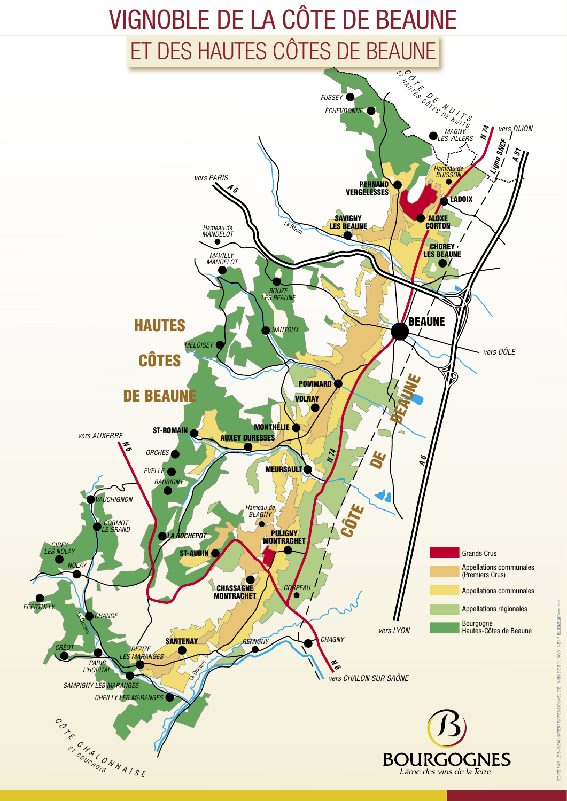## VIGNOBLE DE LA CÔTE DE BEAUNE ET DES HAUTES CÔTES DE BEAUNE